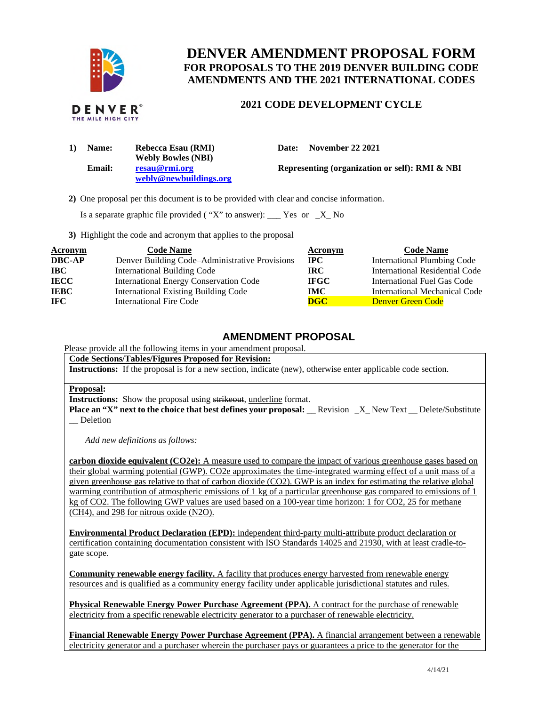

# **DENVER AMENDMENT PROPOSAL FORM FOR PROPOSALS TO THE 2019 DENVER BUILDING CODE AMENDMENTS AND THE 2021 INTERNATIONAL CODES**

## **2021 CODE DEVELOPMENT CYCLE**

| 1) | <b>Name:</b> | Rebecca Esau (RMI)        | Date: | <b>November 22 2021</b>           |
|----|--------------|---------------------------|-------|-----------------------------------|
|    |              | <b>Webly Bowles (NBI)</b> |       |                                   |
|    | Email:       | resau@rmi.org             |       | <b>Representing (organization</b> |
|    |              | webly@newbuildings.org    |       |                                   |

**Representing (organization or self): RMI & NBI** 

**2)** One proposal per this document is to be provided with clear and concise information.

Is a separate graphic file provided ("X" to answer):  $\frac{1}{1}$  Yes or  $\frac{1}{1}$  No

**3)** Highlight the code and acronym that applies to the proposal

| <b>Acronym</b> | <b>Code Name</b>                               | Acronym     | <b>Code Name</b>                   |
|----------------|------------------------------------------------|-------------|------------------------------------|
| <b>DBC-AP</b>  | Denver Building Code–Administrative Provisions | $\bf IPC$   | <b>International Plumbing Code</b> |
| <b>IBC</b>     | International Building Code                    | IRC.        | International Residential Code     |
| <b>IECC</b>    | <b>International Energy Conservation Code</b>  | <b>IFGC</b> | International Fuel Gas Code        |
| <b>IEBC</b>    | <b>International Existing Building Code</b>    | IMC .       | International Mechanical Code      |
| IFC.           | <b>International Fire Code</b>                 | <b>DGC</b>  | <b>Denver Green Code</b>           |

### **AMENDMENT PROPOSAL**

Please provide all the following items in your amendment proposal.

#### **Code Sections/Tables/Figures Proposed for Revision:**

**Instructions:** If the proposal is for a new section, indicate (new), otherwise enter applicable code section.

#### **Proposal:**

**Instructions:** Show the proposal using strikeout, underline format.

**Place an "X" next to the choice that best defines your proposal: \_\_ Revision \_X\_ New Text \_\_ Delete/Substitute** \_\_ Deletion

 *Add new definitions as follows:* 

**carbon dioxide equivalent (CO2e):** A measure used to compare the impact of various greenhouse gases based on their global warming potential (GWP). CO2e approximates the time-integrated warming effect of a unit mass of a given greenhouse gas relative to that of carbon dioxide (CO2). GWP is an index for estimating the relative global warming contribution of atmospheric emissions of 1 kg of a particular greenhouse gas compared to emissions of 1 kg of CO2. The following GWP values are used based on a 100-year time horizon: 1 for CO2, 25 for methane (CH4), and 298 for nitrous oxide (N2O).

**Environmental Product Declaration (EPD):** independent third-party multi-attribute product declaration or certification containing documentation consistent with ISO Standards 14025 and 21930, with at least cradle-to-gate scope.

**Community renewable energy facility.** A facility that produces energy harvested from renewable energy resources and is qualified as a community energy facility under applicable jurisdictional statutes and rules.

**Physical Renewable Energy Power Purchase Agreement (PPA).** A contract for the purchase of renewable electricity from a specific renewable electricity generator to a purchaser of renewable electricity.

 **Financial Renewable Energy Power Purchase Agreement (PPA).** A financial arrangement between a renewable electricity generator and a purchaser wherein the purchaser pays or guarantees a price to the generator for the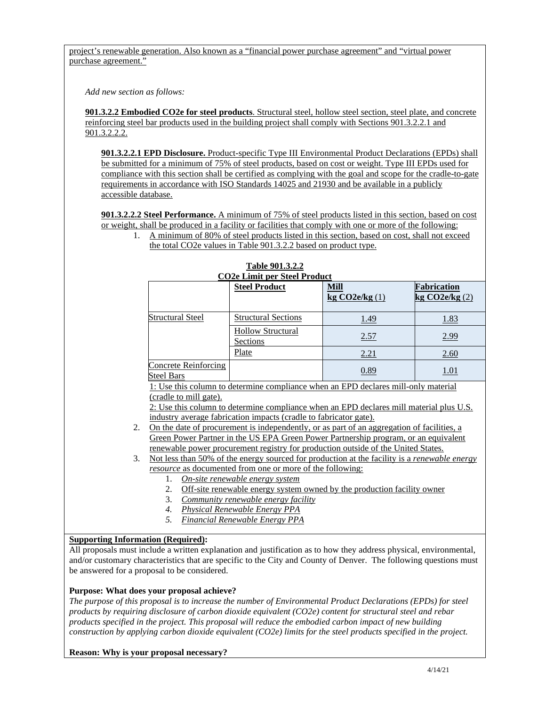project's renewable generation. Also known as a "financial power purchase agreement" and "virtual power purchase agreement."

 *Add new section as follows:* 

 **901.3.2.2 Embodied CO2e for steel products**. Structural steel, hollow steel section, steel plate, and concrete reinforcing steel bar products used in the building project shall comply with Sections 901.3.2.2.1 and 901.3.2.2.2.

 **901.3.2.2.1 EPD Disclosure.** Product-specific Type III Environmental Product Declarations (EPDs) shall be submitted for a minimum of 75% of steel products, based on cost or weight. Type III EPDs used for compliance with this section shall be certified as complying with the goal and scope for the cradle-to-gate requirements in accordance with ISO Standards 14025 and 21930 and be available in a publicly accessible database.

 **901.3.2.2.2 Steel Performance.** A minimum of 75% of steel products listed in this section, based on cost or weight, shall be produced in a facility or facilities that comply with one or more of the following:

| A minimum of 80% of steel products listed in this section, based on cost, shall not exceed |
|--------------------------------------------------------------------------------------------|
| the total CO2e values in Table 901.3.2.2 based on product type.                            |

| <b>CO2e Limit per Steel Product</b>                                                        |                                                                                                     |               |                       |  |
|--------------------------------------------------------------------------------------------|-----------------------------------------------------------------------------------------------------|---------------|-----------------------|--|
|                                                                                            | <b>Steel Product</b>                                                                                | Mill          | Fabrication           |  |
|                                                                                            |                                                                                                     | kg CO2e/kg(1) | $k$ g CO2e/ $k$ g (2) |  |
|                                                                                            |                                                                                                     |               |                       |  |
| Structural Steel                                                                           | <b>Structural Sections</b>                                                                          | 1.49          | 1.83                  |  |
|                                                                                            | <b>Hollow Structural</b>                                                                            |               |                       |  |
|                                                                                            | Sections                                                                                            | 2.57          | 2.99                  |  |
|                                                                                            | Plate                                                                                               | 2.21          | 2.60                  |  |
| Concrete Reinforcing                                                                       |                                                                                                     | 0.89          |                       |  |
| Steel Bars                                                                                 |                                                                                                     |               | <u>1.01</u>           |  |
| 1: Use this column to determine compliance when an EPD declares mill-only material         |                                                                                                     |               |                       |  |
| (cradle to mill gate).                                                                     |                                                                                                     |               |                       |  |
| 2. Use this column to determine compliance when an EPD declares mill material plus U.S.    |                                                                                                     |               |                       |  |
| industry average fabrication impacts (cradle to fabricator gate).                          |                                                                                                     |               |                       |  |
| On the date of procurement is independently, or as part of an aggregation of facilities, a |                                                                                                     |               |                       |  |
|                                                                                            | Green Power Partner in the US EPA Green Power Partnership program, or an equivalent                 |               |                       |  |
|                                                                                            | renewable power procurement registry for production outside of the United States.                   |               |                       |  |
| 3.                                                                                         | Not less than 50% of the energy sourced for production at the facility is a <i>renewable energy</i> |               |                       |  |

# **Table 901.3.2.2**

*resource* as documented from one or more of the following:

- 1. *On-site renewable energy system*
- 2. Off-site renewable energy system owned by the production facility owner
- 3. *Community renewable energy facility*
- *4. Physical Renewable Energy PPA*
- *5. Financial Renewable Energy PPA*

#### **Supporting Information (Required):**

 All proposals must include a written explanation and justification as to how they address physical, environmental, and/or customary characteristics that are specific to the City and County of Denver. The following questions must be answered for a proposal to be considered.

#### **Purpose: What does your proposal achieve?**

 *The purpose of this proposal is to increase the number of Environmental Product Declarations (EPDs) for steel products by requiring disclosure of carbon dioxide equivalent (CO2e) content for structural steel and rebar products specified in the project. This proposal will reduce the embodied carbon impact of new building*  construction by applying carbon dioxide equivalent (CO2e) limits for the steel products specified in the project.

#### **Reason: Why is your proposal necessary?**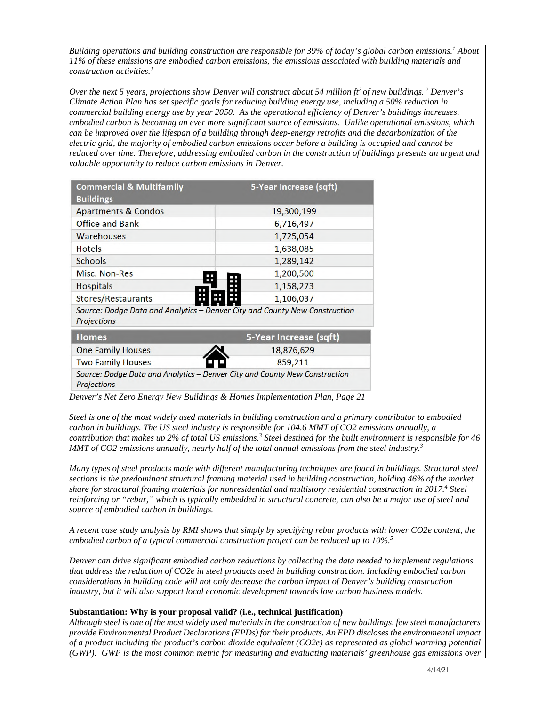Building operations and building construction are responsible for 39% of today's global carbon emissions.<sup>1</sup> About  *11% of these emissions are embodied carbon emissions, the emissions associated with building materials and construction activities.1* 

*Over the next 5 years, projections show Denver will construct about 54 million ft<sup>2</sup> of new buildings. <sup>2</sup> Denver's Climate Action Plan has set specific goals for reducing building energy use, including a 50% reduction in commercial building energy use by year 2050. As the operational efficiency of Denver's buildings increases, embodied carbon is becoming an ever more significant source of emissions. Unlike operational emissions, which can be improved over the lifespan of a building through deep-energy retrofits and the decarbonization of the electric grid, the majority of embodied carbon emissions occur before a building is occupied and cannot be reduced over time. Therefore, addressing embodied carbon in the construction of buildings presents an urgent and valuable opportunity to reduce carbon emissions in Denver.* 

| <b>Commercial &amp; Multifamily</b><br><b>Buildings</b> | 5-Year Increase (sqft)                  |
|---------------------------------------------------------|-----------------------------------------|
| <b>Apartments &amp; Condos</b>                          | 19,300,199                              |
| <b>Office and Bank</b>                                  | 6,716,497                               |
| <b>Warehouses</b>                                       | 1,725,054                               |
| <b>Hotels</b>                                           | 1,638,085                               |
| <b>Schools</b>                                          | 1,289,142                               |
| <b>Misc. Non-Res</b><br>P.                              | 1,200,500<br>Ŧ                          |
| <b>Hospitals</b><br>12.12                               | 1,158,273<br>o.<br>n a                  |
| Stores/Restaurants                                      | m.<br>1,106,037<br>H.                   |
| Course Dodge Data and Apolitics                         | Denver City and County Now Construction |

Source: Dodge Data and Analytics – Denver City and County New Construction **Projections** 

| <b>Homes</b>             | 5-Year Increase (sqft)                                                     |
|--------------------------|----------------------------------------------------------------------------|
| <b>One Family Houses</b> | 18,876,629                                                                 |
| <b>Two Family Houses</b> | LT)<br>859.211                                                             |
| <b>Projections</b>       | Source: Dodge Data and Analytics - Denver City and County New Construction |

 *Denver's Net Zero Energy New Buildings & Homes Implementation Plan, Page 21* 

 *Steel is one of the most widely used materials in building construction and a primary contributor to embodied carbon in buildings. The US steel industry is responsible for 104.6 MMT of CO2 emissions annually, a contribution that makes up 2% of total US emissions.3 Steel destined for the built environment is responsible for 46 MMT of CO2 emissions annually, nearly half of the total annual emissions from the steel industry.3* 

 *Many types of steel products made with different manufacturing techniques are found in buildings. Structural steel*  sections is the predominant structural framing material used in building construction, holding 46% of the market  *share for structural framing materials for nonresidential and multistory residential construction in 2017.4 Steel reinforcing or "rebar," which is typically embedded in structural concrete, can also be a major use of steel and source of embodied carbon in buildings.* 

 *A recent case study analysis by RMI shows that simply by specifying rebar products with lower CO2e content, the embodied carbon of a typical commercial construction project can be reduced up to 10%.5* 

 *Denver can drive significant embodied carbon reductions by collecting the data needed to implement regulations that address the reduction of CO2e in steel products used in building construction. Including embodied carbon considerations in building code will not only decrease the carbon impact of Denver's building construction industry, but it will also support local economic development towards low carbon business models.* 

#### **Substantiation: Why is your proposal valid? (i.e., technical justification)**

 *Although steel is one of the most widely used materials in the construction of new buildings, few steel manufacturers provide Environmental Product Declarations (EPDs) for their products. An EPD discloses the environmental impact of a product including the product's carbon dioxide equivalent (CO2e) as represented as global warming potential (GWP). GWP is the most common metric for measuring and evaluating materials' greenhouse gas emissions over*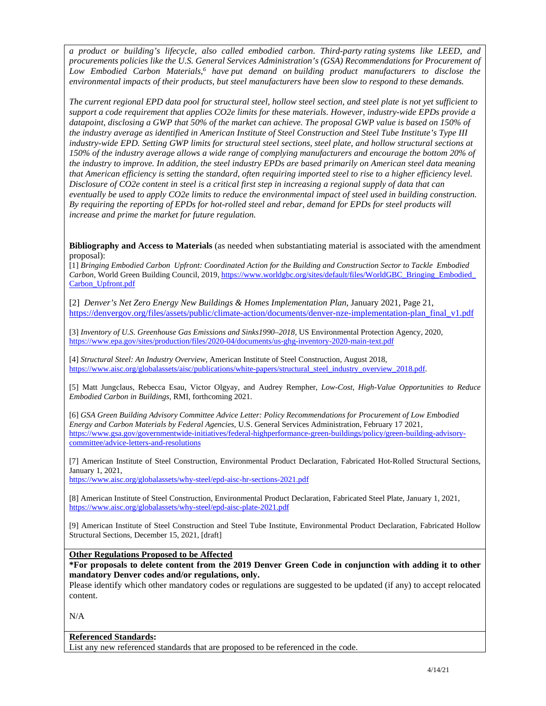*a product or building's lifecycle, also called embodied carbon. Third-party rating systems like LEED, and procurements policies like the U.S. General Services Administration's (GSA) Recommendations for Procurement of*  Low Embodied Carbon Materials,<sup>6</sup> have put demand on building product manufacturers to disclose the  *environmental impacts of their products, but steel manufacturers have been slow to respond to these demands.* 

 *The current regional EPD data pool for structural steel, hollow steel section, and steel plate is not yet sufficient to support a code requirement that applies CO2e limits for these materials. However, industry-wide EPDs provide a datapoint, disclosing a GWP that 50% of the market can achieve. The proposal GWP value is based on 150% of the industry average as identified in American Institute of Steel Construction and Steel Tube Institute's Type III industry-wide EPD. Setting GWP limits for structural steel sections, steel plate, and hollow structural sections at 150% of the industry average allows a wide range of complying manufacturers and encourage the bottom 20% of the industry to improve. In addition, the steel industry EPDs are based primarily on American steel data meaning that American efficiency is setting the standard, often requiring imported steel to rise to a higher efficiency level. Disclosure of CO2e content in steel is a critical first step in increasing a regional supply of data that can*  eventually be used to apply CO2e limits to reduce the environmental impact of steel used in building construction.  *By requiring the reporting of EPDs for hot-rolled steel and rebar, demand for EPDs for steel products will increase and prime the market for future regulation.* 

 **Bibliography and Access to Materials** (as needed when substantiating material is associated with the amendment proposal):

proposal):<br>[1] *Bringing Embodied Carbon Upfront: Coordinated Action for the Building and Construction Sector to Tackle Embodied Carbon,* World Green Building Council, 2019, https://www.worldgbc.org/sites/default/files/WorldGBC\_Bringing\_Embodied\_ Carbon\_Upfront.pdf

 [2] *Denver's Net Zero Energy New Buildings & Homes Implementation Plan,* January 2021, Page 21, https://denvergov.org/files/assets/public/climate-action/documents/denver-nze-implementation-plan\_final\_v1.pdf

 [3] *Inventory of U.S. Greenhouse Gas Emissions and Sinks1990–2018,* US Environmental Protection Agency, 2020, https://www.epa.gov/sites/production/files/2020-04/documents/us-ghg-inventory-2020-main-text.pdf

 [4] *Structural Steel: An Industry Overview*, American Institute of Steel Construction, August 2018, https://www.aisc.org/globalassets/aisc/publications/white-papers/structural\_steel\_industry\_overview\_2018.pdf.

 [5] Matt Jungclaus, Rebecca Esau, Victor Olgyay, and Audrey Rempher, *Low-Cost, High-Value Opportunities to Reduce Embodied Carbon in Buildings,* RMI, forthcoming 2021.

 [6] *GSA Green Building Advisory Committee Advice Letter: Policy Recommendations for Procurement of Low Embodied Energy and Carbon Materials by Federal Agencies,* U.S. General Services Administration, February 17 2021, https://www.gsa.gov/governmentwide-initiatives/federal-highperformance-green-buildings/policy/green-building-advisorycommittee/advice-letters-and-resolutions

 [7] American Institute of Steel Construction, Environmental Product Declaration, Fabricated Hot-Rolled Structural Sections, January 1, 2021,

https://www.aisc.org/globalassets/why-steel/epd-aisc-hr-sections-2021.pdf

 [8] American Institute of Steel Construction, Environmental Product Declaration, Fabricated Steel Plate, January 1, 2021, https://www.aisc.org/globalassets/why-steel/epd-aisc-plate-2021.pdf

 [9] American Institute of Steel Construction and Steel Tube Institute, Environmental Product Declaration, Fabricated Hollow Structural Sections, December 15, 2021, [draft]

**Other Regulations Proposed to be Affected** 

 **\*For proposals to delete content from the 2019 Denver Green Code in conjunction with adding it to other mandatory Denver codes and/or regulations, only.** 

 Please identify which other mandatory codes or regulations are suggested to be updated (if any) to accept relocated content.

N/A

#### **Referenced Standards:**

List any new referenced standards that are proposed to be referenced in the code.